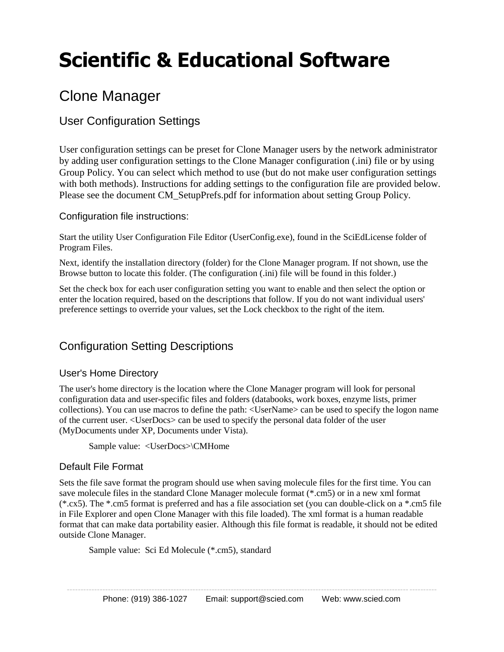# **Scientific & Educational Software**

# Clone Manager

# User Configuration Settings

User configuration settings can be preset for Clone Manager users by the network administrator by adding user configuration settings to the Clone Manager configuration (.ini) file or by using Group Policy. You can select which method to use (but do not make user configuration settings with both methods). Instructions for adding settings to the configuration file are provided below. Please see the document CM\_SetupPrefs.pdf for information about setting Group Policy.

#### Configuration file instructions:

Start the utility User Configuration File Editor (UserConfig.exe), found in the SciEdLicense folder of Program Files.

Next, identify the installation directory (folder) for the Clone Manager program. If not shown, use the Browse button to locate this folder. (The configuration (.ini) file will be found in this folder.)

Set the check box for each user configuration setting you want to enable and then select the option or enter the location required, based on the descriptions that follow. If you do not want individual users' preference settings to override your values, set the Lock checkbox to the right of the item.

## Configuration Setting Descriptions

#### User's Home Directory

The user's home directory is the location where the Clone Manager program will look for personal configuration data and user-specific files and folders (databooks, work boxes, enzyme lists, primer collections). You can use macros to define the path: <UserName> can be used to specify the logon name of the current user. <UserDocs> can be used to specify the personal data folder of the user (MyDocuments under XP, Documents under Vista).

Sample value: <UserDocs>\CMHome

#### Default File Format

Sets the file save format the program should use when saving molecule files for the first time. You can save molecule files in the standard Clone Manager molecule format (\*.cm5) or in a new xml format (\*.cx5). The \*.cm5 format is preferred and has a file association set (you can double-click on a \*.cm5 file in File Explorer and open Clone Manager with this file loaded). The xml format is a human readable format that can make data portability easier. Although this file format is readable, it should not be edited outside Clone Manager.

Sample value: Sci Ed Molecule (\*.cm5), standard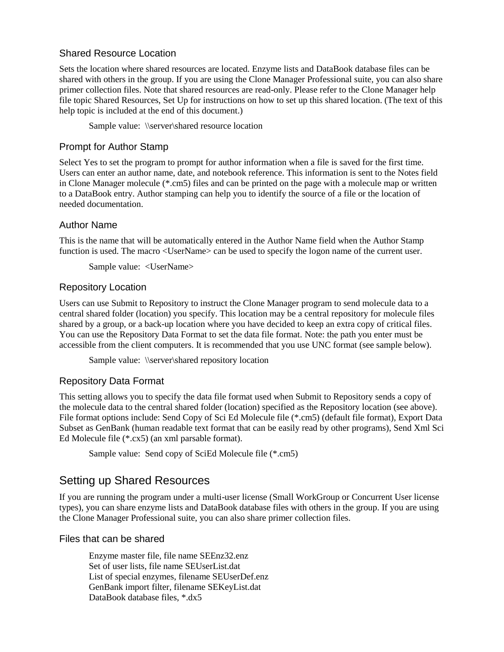#### Shared Resource Location

Sets the location where shared resources are located. Enzyme lists and DataBook database files can be shared with others in the group. If you are using the Clone Manager Professional suite, you can also share primer collection files. Note that shared resources are read-only. Please refer to the Clone Manager help file topic Shared Resources, Set Up for instructions on how to set up this shared location. (The text of this help topic is included at the end of this document.)

Sample value: \\server\shared resource location

#### Prompt for Author Stamp

Select Yes to set the program to prompt for author information when a file is saved for the first time. Users can enter an author name, date, and notebook reference. This information is sent to the Notes field in Clone Manager molecule (\*.cm5) files and can be printed on the page with a molecule map or written to a DataBook entry. Author stamping can help you to identify the source of a file or the location of needed documentation.

#### Author Name

This is the name that will be automatically entered in the Author Name field when the Author Stamp function is used. The macro <UserName> can be used to specify the logon name of the current user.

Sample value: <UserName>

#### Repository Location

Users can use Submit to Repository to instruct the Clone Manager program to send molecule data to a central shared folder (location) you specify. This location may be a central repository for molecule files shared by a group, or a back-up location where you have decided to keep an extra copy of critical files. You can use the Repository Data Format to set the data file format. Note: the path you enter must be accessible from the client computers. It is recommended that you use UNC format (see sample below).

Sample value: \\server\shared repository location

#### Repository Data Format

This setting allows you to specify the data file format used when Submit to Repository sends a copy of the molecule data to the central shared folder (location) specified as the Repository location (see above). File format options include: Send Copy of Sci Ed Molecule file (\*.cm5) (default file format), Export Data Subset as GenBank (human readable text format that can be easily read by other programs), Send Xml Sci Ed Molecule file (\*.cx5) (an xml parsable format).

Sample value: Send copy of SciEd Molecule file (\*.cm5)

### Setting up Shared Resources

If you are running the program under a multi-user license (Small WorkGroup or Concurrent User license types), you can share enzyme lists and DataBook database files with others in the group. If you are using the Clone Manager Professional suite, you can also share primer collection files.

#### Files that can be shared

Enzyme master file, file name SEEnz32.enz Set of user lists, file name SEUserList.dat List of special enzymes, filename SEUserDef.enz GenBank import filter, filename SEKeyList.dat DataBook database files, \*.dx5